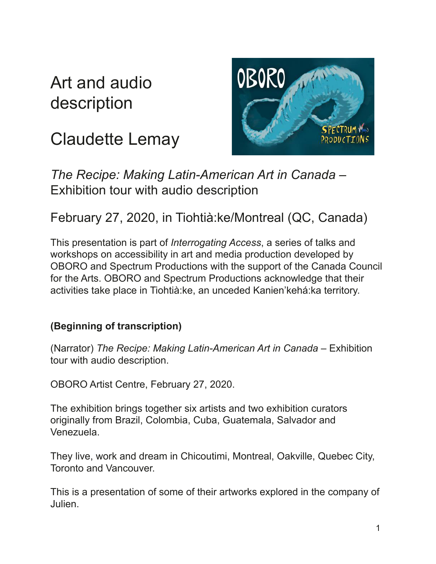# Art and audio description

# Claudette Lemay



*The Recipe: Making Latin-American Art in Canada* – Exhibition tour with audio description

## February 27, 2020, in Tiohtià:ke/Montreal (QC, Canada)

This presentation is part of *Interrogating Access*, a series of talks and workshops on accessibility in art and media production developed by OBORO and Spectrum Productions with the support of the Canada Council for the Arts. OBORO and Spectrum Productions acknowledge that their activities take place in Tiohtià:ke, an unceded Kanien'kehá:ka territory.

### **(Beginning of transcription)**

(Narrator) *The Recipe: Making Latin-American Art in Canada* – Exhibition tour with audio description.

OBORO Artist Centre, February 27, 2020.

The exhibition brings together six artists and two exhibition curators originally from Brazil, Colombia, Cuba, Guatemala, Salvador and Venezuela.

They live, work and dream in Chicoutimi, Montreal, Oakville, Quebec City, Toronto and Vancouver.

This is a presentation of some of their artworks explored in the company of Julien.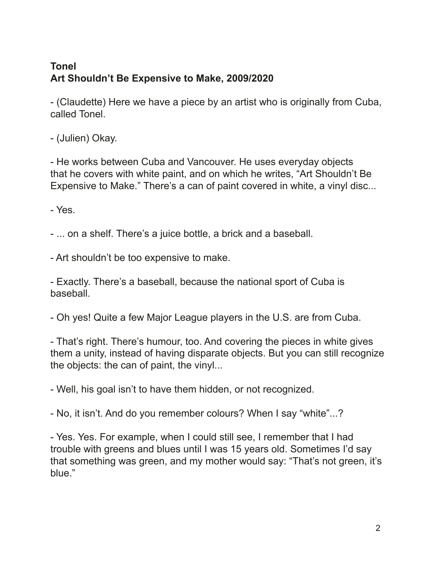### **Tonel Art Shouldn't Be Expensive to Make, 2009/2020**

- (Claudette) Here we have a piece by an artist who is originally from Cuba, called Tonel.

- (Julien) Okay.

- He works between Cuba and Vancouver. He uses everyday objects that he covers with white paint, and on which he writes, "Art Shouldn't Be Expensive to Make." There's a can of paint covered in white, a vinyl disc...

- Yes.

- ... on a shelf. There's a juice bottle, a brick and a baseball.

- Art shouldn't be too expensive to make.

- Exactly. There's a baseball, because the national sport of Cuba is baseball.

- Oh yes! Quite a few Major League players in the U.S. are from Cuba.

- That's right. There's humour, too. And covering the pieces in white gives them a unity, instead of having disparate objects. But you can still recognize the objects: the can of paint, the vinyl...

- Well, his goal isn't to have them hidden, or not recognized.

- No, it isn't. And do you remember colours? When I say "white"...?

- Yes. Yes. For example, when I could still see, I remember that I had trouble with greens and blues until I was 15 years old. Sometimes I'd say that something was green, and my mother would say: "That's not green, it's blue."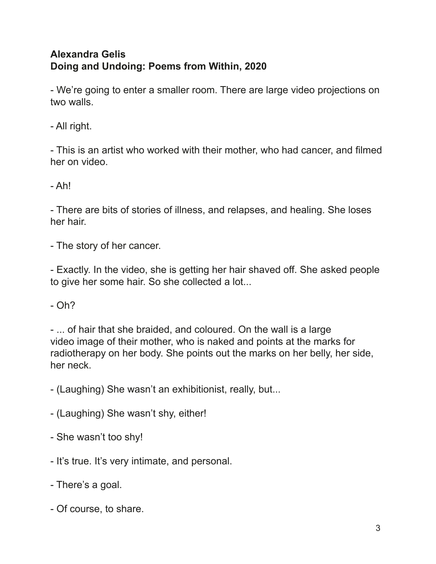#### **Alexandra Gelis Doing and Undoing: Poems from Within, 2020**

- We're going to enter a smaller room. There are large video projections on two walls.

- All right.

- This is an artist who worked with their mother, who had cancer, and flmed her on video.

- Ah!

- There are bits of stories of illness, and relapses, and healing. She loses her hair.

- The story of her cancer.

- Exactly. In the video, she is getting her hair shaved off. She asked people to give her some hair. So she collected a lot...

 $- Oh?$ 

- ... of hair that she braided, and coloured. On the wall is a large video image of their mother, who is naked and points at the marks for radiotherapy on her body. She points out the marks on her belly, her side, her neck.

- (Laughing) She wasn't an exhibitionist, really, but...

- (Laughing) She wasn't shy, either!

- She wasn't too shy!

- It's true. It's very intimate, and personal.

- There's a goal.

- Of course, to share.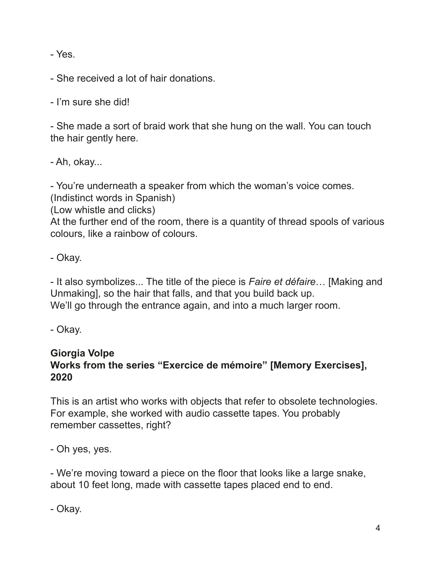- Yes.

- She received a lot of hair donations.

- I'm sure she did!

- She made a sort of braid work that she hung on the wall. You can touch the hair gently here.

- Ah, okay...

- You're underneath a speaker from which the woman's voice comes.

(Indistinct words in Spanish)

(Low whistle and clicks)

At the further end of the room, there is a quantity of thread spools of various colours, like a rainbow of colours.

- Okay.

- It also symbolizes... The title of the piece is *Faire et défaire*… [Making and Unmaking], so the hair that falls, and that you build back up. We'll go through the entrance again, and into a much larger room.

- Okay.

#### **Giorgia Volpe Works from the series "Exercice de mémoire" [Memory Exercises], 2020**

This is an artist who works with objects that refer to obsolete technologies. For example, she worked with audio cassette tapes. You probably remember cassettes, right?

- Oh yes, yes.

- We're moving toward a piece on the foor that looks like a large snake, about 10 feet long, made with cassette tapes placed end to end.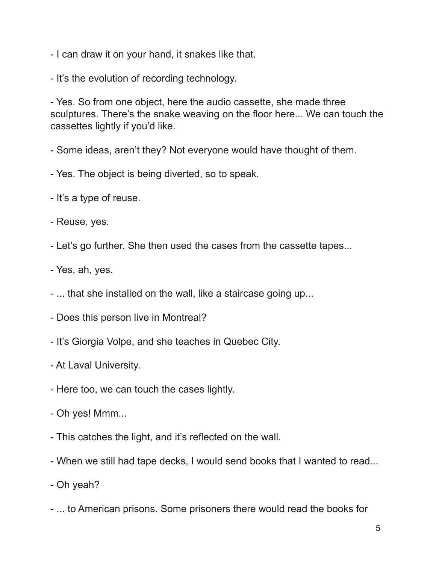- I can draw it on your hand, it snakes like that.

- It's the evolution of recording technology.

- Yes. So from one object, here the audio cassette, she made three sculptures. There's the snake weaving on the floor here... We can touch the cassettes lightly if you'd like.

- Some ideas, aren't they? Not everyone would have thought of them.

- Yes. The object is being diverted, so to speak.
- It's a type of reuse.
- Reuse, yes.
- Let's go further. She then used the cases from the cassette tapes...
- Yes, ah, yes.
- ... that she installed on the wall, like a staircase going up...
- Does this person live in Montreal?
- It's Giorgia Volpe, and she teaches in Quebec City.
- At Laval University.
- Here too, we can touch the cases lightly.
- Oh yes! Mmm...
- This catches the light, and it's refected on the wall.
- When we still had tape decks, I would send books that I wanted to read...
- Oh yeah?
- ... to American prisons. Some prisoners there would read the books for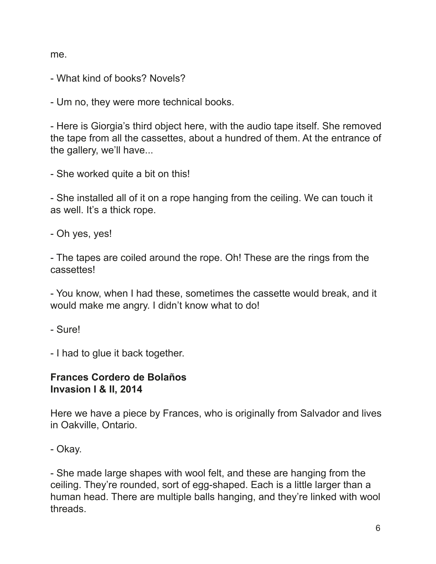me.

- What kind of books? Novels?

- Um no, they were more technical books.

- Here is Giorgia's third object here, with the audio tape itself. She removed the tape from all the cassettes, about a hundred of them. At the entrance of the gallery, we'll have...

- She worked quite a bit on this!

- She installed all of it on a rope hanging from the ceiling. We can touch it as well. It's a thick rope.

- Oh yes, yes!

- The tapes are coiled around the rope. Oh! These are the rings from the cassettes!

- You know, when I had these, sometimes the cassette would break, and it would make me angry. I didn't know what to do!

- Sure!

- I had to glue it back together.

#### **Frances Cordero de Bolaños Invasion I & II, 2014**

Here we have a piece by Frances, who is originally from Salvador and lives in Oakville, Ontario.

- She made large shapes with wool felt, and these are hanging from the ceiling. They're rounded, sort of egg-shaped. Each is a little larger than a human head. There are multiple balls hanging, and they're linked with wool threads.

<sup>-</sup> Okay.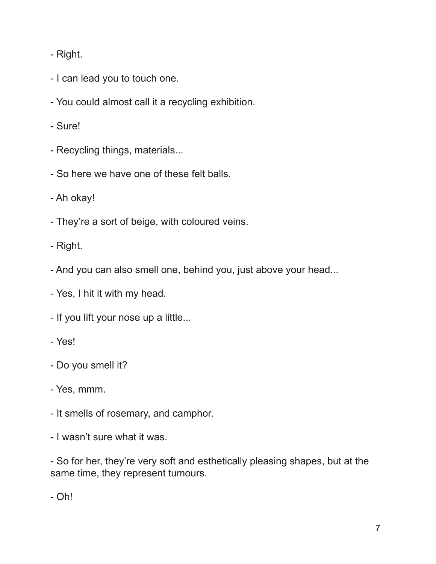- Right.

- I can lead you to touch one.
- You could almost call it a recycling exhibition.
- Sure!
- Recycling things, materials...
- So here we have one of these felt balls.
- Ah okay!
- They're a sort of beige, with coloured veins.
- Right.
- And you can also smell one, behind you, just above your head...
- Yes, I hit it with my head.
- If you lift your nose up a little...
- Yes!
- Do you smell it?
- Yes, mmm.
- It smells of rosemary, and camphor.
- I wasn't sure what it was.

- So for her, they're very soft and esthetically pleasing shapes, but at the same time, they represent tumours.

- Oh!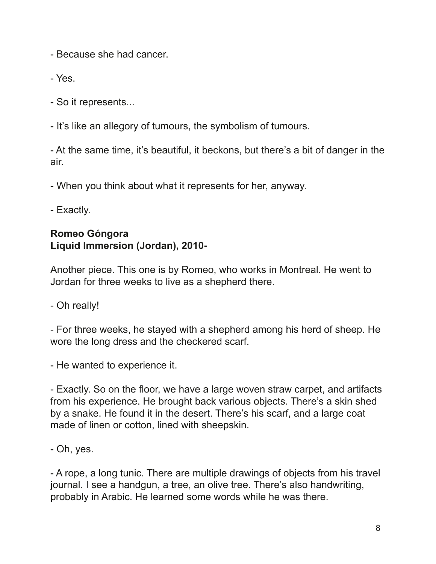- Because she had cancer.

- Yes.

- So it represents...

- It's like an allegory of tumours, the symbolism of tumours.

- At the same time, it's beautiful, it beckons, but there's a bit of danger in the air.

- When you think about what it represents for her, anyway.

- Exactly.

#### **Romeo Góngora Liquid Immersion (Jordan), 2010-**

Another piece. This one is by Romeo, who works in Montreal. He went to Jordan for three weeks to live as a shepherd there.

- Oh really!

- For three weeks, he stayed with a shepherd among his herd of sheep. He wore the long dress and the checkered scarf.

- He wanted to experience it.

- Exactly. So on the foor, we have a large woven straw carpet, and artifacts from his experience. He brought back various objects. There's a skin shed by a snake. He found it in the desert. There's his scarf, and a large coat made of linen or cotton, lined with sheepskin.

- Oh, yes.

- A rope, a long tunic. There are multiple drawings of objects from his travel journal. I see a handgun, a tree, an olive tree. There's also handwriting, probably in Arabic. He learned some words while he was there.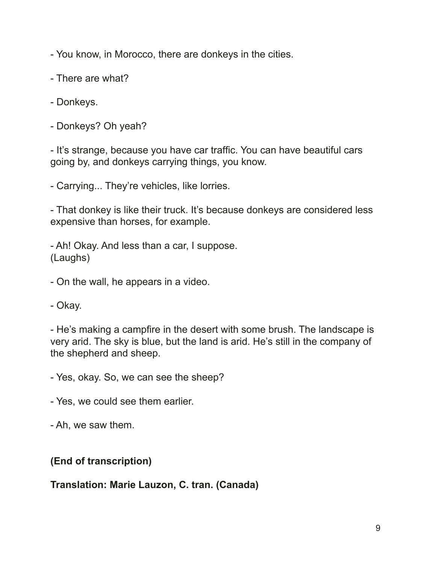- You know, in Morocco, there are donkeys in the cities.

- There are what?
- Donkeys.
- Donkeys? Oh yeah?

- It's strange, because you have car traffic. You can have beautiful cars going by, and donkeys carrying things, you know.

- Carrying... They're vehicles, like lorries.

- That donkey is like their truck. It's because donkeys are considered less expensive than horses, for example.

- Ah! Okay. And less than a car, I suppose. (Laughs)

- On the wall, he appears in a video.

- Okay.

- He's making a campfre in the desert with some brush. The landscape is very arid. The sky is blue, but the land is arid. He's still in the company of the shepherd and sheep.

- Yes, okay. So, we can see the sheep?

- Yes, we could see them earlier.

- Ah, we saw them.

#### **(End of transcription)**

**Translation: Marie Lauzon, C. tran. (Canada)**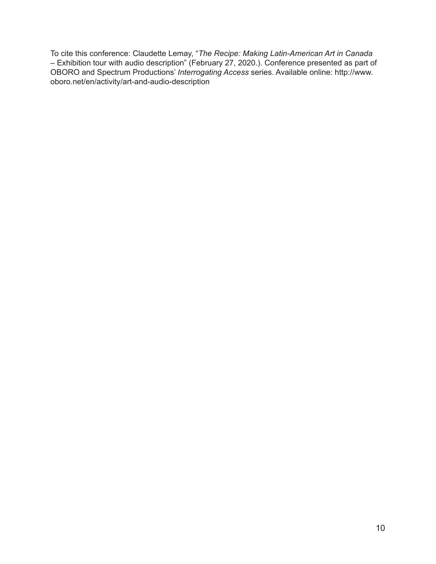To cite this conference: Claudette Lemay, "*The Recipe: Making Latin-American Art in Canada*  – Exhibition tour with audio description" (February 27, 2020.). Conference presented as part of OBORO and Spectrum Productions' *Interrogating Access* series. Available online: http://www. oboro.net/en/activity/art-and-audio-description